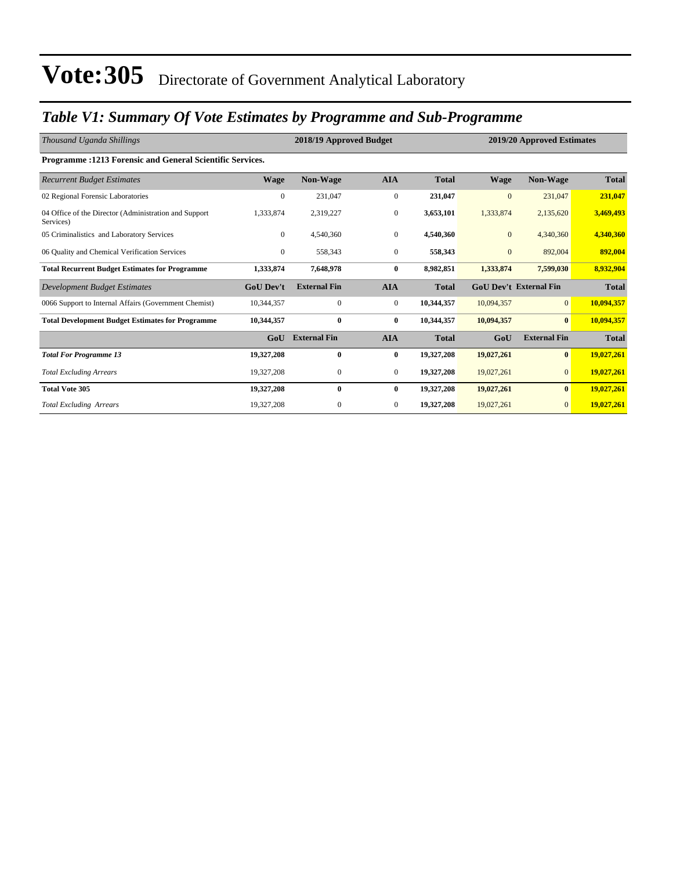### *Table V1: Summary Of Vote Estimates by Programme and Sub-Programme*

| Thousand Uganda Shillings                                          |                  | 2018/19 Approved Budget |                  |              | 2019/20 Approved Estimates |                               |              |  |  |
|--------------------------------------------------------------------|------------------|-------------------------|------------------|--------------|----------------------------|-------------------------------|--------------|--|--|
| Programme : 1213 Forensic and General Scientific Services.         |                  |                         |                  |              |                            |                               |              |  |  |
| <b>Recurrent Budget Estimates</b>                                  | <b>Wage</b>      | <b>Non-Wage</b>         | <b>AIA</b>       | <b>Total</b> | <b>Wage</b>                | <b>Non-Wage</b>               | <b>Total</b> |  |  |
| 02 Regional Forensic Laboratories                                  | $\mathbf{0}$     | 231,047                 | $\boldsymbol{0}$ | 231,047      | $\mathbf{0}$               | 231,047                       | 231,047      |  |  |
| 04 Office of the Director (Administration and Support<br>Services) | 1,333,874        | 2,319,227               | $\boldsymbol{0}$ | 3,653,101    | 1,333,874                  | 2,135,620                     | 3,469,493    |  |  |
| 05 Criminalistics and Laboratory Services                          | $\mathbf{0}$     | 4,540,360               | $\mathbf{0}$     | 4,540,360    | $\mathbf{0}$               | 4,340,360                     | 4,340,360    |  |  |
| 06 Quality and Chemical Verification Services                      | $\overline{0}$   | 558,343                 | $\mathbf{0}$     | 558,343      | $\mathbf{0}$               | 892,004                       | 892,004      |  |  |
| <b>Total Recurrent Budget Estimates for Programme</b>              | 1,333,874        | 7,648,978               | $\bf{0}$         | 8,982,851    | 1,333,874                  | 7,599,030                     | 8,932,904    |  |  |
| Development Budget Estimates                                       | <b>GoU Dev't</b> | <b>External Fin</b>     | <b>AIA</b>       | <b>Total</b> |                            | <b>GoU Dev't External Fin</b> | <b>Total</b> |  |  |
| 0066 Support to Internal Affairs (Government Chemist)              | 10,344,357       | $\mathbf{0}$            | $\overline{0}$   | 10,344,357   | 10,094,357                 | $\overline{0}$                | 10,094,357   |  |  |
| <b>Total Development Budget Estimates for Programme</b>            | 10,344,357       | $\mathbf{0}$            | $\bf{0}$         | 10,344,357   | 10,094,357                 | $\mathbf{0}$                  | 10,094,357   |  |  |
|                                                                    | GoU              | <b>External Fin</b>     | <b>AIA</b>       | <b>Total</b> | GoU                        | <b>External Fin</b>           | <b>Total</b> |  |  |
| <b>Total For Programme 13</b>                                      | 19,327,208       | $\bf{0}$                | $\bf{0}$         | 19,327,208   | 19,027,261                 | $\bf{0}$                      | 19,027,261   |  |  |
| <b>Total Excluding Arrears</b>                                     | 19,327,208       | 0                       | $\mathbf{0}$     | 19,327,208   | 19,027,261                 | $\overline{0}$                | 19,027,261   |  |  |
| <b>Total Vote 305</b>                                              | 19,327,208       | $\mathbf{0}$            | $\bf{0}$         | 19,327,208   | 19,027,261                 | $\bf{0}$                      | 19,027,261   |  |  |
| <b>Total Excluding Arrears</b>                                     | 19,327,208       | $\mathbf{0}$            | $\mathbf{0}$     | 19,327,208   | 19,027,261                 | $\mathbf{0}$                  | 19,027,261   |  |  |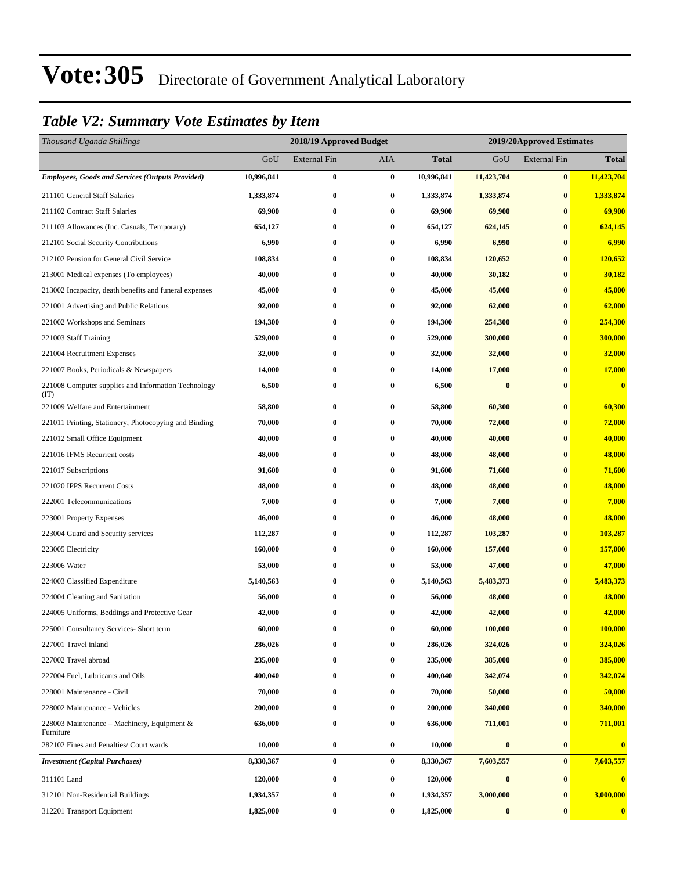### *Table V2: Summary Vote Estimates by Item*

| Thousand Uganda Shillings                                  |            | 2018/19 Approved Budget |           |            | 2019/20Approved Estimates |                     |                         |
|------------------------------------------------------------|------------|-------------------------|-----------|------------|---------------------------|---------------------|-------------------------|
|                                                            | GoU        | <b>External Fin</b>     | AIA       | Total      | GoU                       | <b>External Fin</b> | <b>Total</b>            |
| <b>Employees, Goods and Services (Outputs Provided)</b>    | 10,996,841 | $\boldsymbol{0}$        | $\bf{0}$  | 10,996,841 | 11,423,704                | $\bf{0}$            | 11,423,704              |
| 211101 General Staff Salaries                              | 1,333,874  | $\bf{0}$                | $\bf{0}$  | 1,333,874  | 1,333,874                 | $\bf{0}$            | 1,333,874               |
| 211102 Contract Staff Salaries                             | 69,900     | $\bf{0}$                | $\bf{0}$  | 69,900     | 69,900                    | $\bf{0}$            | 69,900                  |
| 211103 Allowances (Inc. Casuals, Temporary)                | 654,127    | $\bf{0}$                | $\bf{0}$  | 654,127    | 624,145                   | $\bf{0}$            | 624,145                 |
| 212101 Social Security Contributions                       | 6,990      | $\bf{0}$                | $\bf{0}$  | 6,990      | 6,990                     | $\bf{0}$            | 6,990                   |
| 212102 Pension for General Civil Service                   | 108,834    | $\bf{0}$                | $\bf{0}$  | 108,834    | 120,652                   | $\bf{0}$            | 120,652                 |
| 213001 Medical expenses (To employees)                     | 40,000     | $\bf{0}$                | $\bf{0}$  | 40,000     | 30,182                    | $\bf{0}$            | 30,182                  |
| 213002 Incapacity, death benefits and funeral expenses     | 45,000     | $\bf{0}$                | $\bf{0}$  | 45,000     | 45,000                    | $\bf{0}$            | 45,000                  |
| 221001 Advertising and Public Relations                    | 92,000     | $\bf{0}$                | $\bf{0}$  | 92,000     | 62,000                    | $\bf{0}$            | 62,000                  |
| 221002 Workshops and Seminars                              | 194,300    | $\bf{0}$                | $\bf{0}$  | 194,300    | 254,300                   | $\bf{0}$            | 254,300                 |
| 221003 Staff Training                                      | 529,000    | $\bf{0}$                | $\bf{0}$  | 529,000    | 300,000                   | $\bf{0}$            | 300,000                 |
| 221004 Recruitment Expenses                                | 32,000     | $\bf{0}$                | $\bf{0}$  | 32,000     | 32,000                    | $\bf{0}$            | 32,000                  |
| 221007 Books, Periodicals & Newspapers                     | 14,000     | $\bf{0}$                | $\bf{0}$  | 14,000     | 17,000                    | $\bf{0}$            | 17,000                  |
| 221008 Computer supplies and Information Technology<br>(T) | 6,500      | $\bf{0}$                | $\bf{0}$  | 6,500      | $\bf{0}$                  | $\bf{0}$            | $\overline{\mathbf{0}}$ |
| 221009 Welfare and Entertainment                           | 58,800     | $\boldsymbol{0}$        | $\bf{0}$  | 58,800     | 60,300                    | $\bf{0}$            | 60,300                  |
| 221011 Printing, Stationery, Photocopying and Binding      | 70,000     | $\bf{0}$                | $\bf{0}$  | 70,000     | 72,000                    | $\bf{0}$            | 72,000                  |
| 221012 Small Office Equipment                              | 40,000     | $\bf{0}$                | $\bf{0}$  | 40,000     | 40,000                    | $\bf{0}$            | 40,000                  |
| 221016 IFMS Recurrent costs                                | 48,000     | $\bf{0}$                | $\bf{0}$  | 48,000     | 48,000                    | $\bf{0}$            | 48,000                  |
| 221017 Subscriptions                                       | 91,600     | $\bf{0}$                | $\bf{0}$  | 91,600     | 71,600                    | $\bf{0}$            | 71,600                  |
| 221020 IPPS Recurrent Costs                                | 48,000     | $\bf{0}$                | $\bf{0}$  | 48,000     | 48,000                    | $\bf{0}$            | 48,000                  |
| 222001 Telecommunications                                  | 7,000      | $\bf{0}$                | $\bf{0}$  | 7,000      | 7,000                     | $\bf{0}$            | 7,000                   |
| 223001 Property Expenses                                   | 46,000     | $\bf{0}$                | $\bf{0}$  | 46,000     | 48,000                    | $\bf{0}$            | 48,000                  |
| 223004 Guard and Security services                         | 112,287    | $\bf{0}$                | $\bf{0}$  | 112,287    | 103,287                   | $\bf{0}$            | 103,287                 |
| 223005 Electricity                                         | 160,000    | $\bf{0}$                | $\bf{0}$  | 160,000    | 157,000                   | $\bf{0}$            | 157,000                 |
| 223006 Water                                               | 53,000     | $\bf{0}$                | $\bf{0}$  | 53,000     | 47,000                    | $\bf{0}$            | 47,000                  |
| 224003 Classified Expenditure                              | 5,140,563  | $\bf{0}$                | $\bf{0}$  | 5,140,563  | 5,483,373                 | $\bf{0}$            | 5,483,373               |
| 224004 Cleaning and Sanitation                             | 56,000     | $\bf{0}$                | $\bf{0}$  | 56,000     | 48,000                    | $\bf{0}$            | 48,000                  |
| 224005 Uniforms, Beddings and Protective Gear              | 42,000     | $\bf{0}$                | $\bf{0}$  | 42,000     | 42,000                    | $\bf{0}$            | 42,000                  |
| 225001 Consultancy Services- Short term                    | 60,000     | 0                       | $\pmb{0}$ | 60,000     | 100,000                   | $\pmb{0}$           | 100,000                 |
| 227001 Travel inland                                       | 286,026    | 0                       | $\bf{0}$  | 286,026    | 324,026                   | $\bf{0}$            | 324,026                 |
| 227002 Travel abroad                                       | 235,000    | $\bf{0}$                | $\bf{0}$  | 235,000    | 385,000                   | $\bf{0}$            | 385,000                 |
| 227004 Fuel, Lubricants and Oils                           | 400,040    | $\bf{0}$                | $\bf{0}$  | 400,040    | 342,074                   | $\bf{0}$            | 342,074                 |
| 228001 Maintenance - Civil                                 | 70,000     | $\bf{0}$                | $\bf{0}$  | 70,000     | 50,000                    | $\bf{0}$            | 50,000                  |
| 228002 Maintenance - Vehicles                              | 200,000    | $\bf{0}$                | $\bf{0}$  | 200,000    | 340,000                   | $\bf{0}$            | 340,000                 |
| 228003 Maintenance – Machinery, Equipment &<br>Furniture   | 636,000    | $\boldsymbol{0}$        | $\bf{0}$  | 636,000    | 711,001                   | $\bf{0}$            | 711,001                 |
| 282102 Fines and Penalties/ Court wards                    | 10,000     | $\boldsymbol{0}$        | $\bf{0}$  | 10,000     | $\bf{0}$                  | $\bf{0}$            | $\bf{0}$                |
| <b>Investment</b> (Capital Purchases)                      | 8,330,367  | $\bf{0}$                | $\bf{0}$  | 8,330,367  | 7,603,557                 | $\bf{0}$            | 7,603,557               |
| 311101 Land                                                | 120,000    | 0                       | $\bf{0}$  | 120,000    | $\bf{0}$                  | $\bf{0}$            | $\overline{\mathbf{0}}$ |
| 312101 Non-Residential Buildings                           | 1,934,357  | $\bf{0}$                | $\bf{0}$  | 1,934,357  | 3,000,000                 | $\bf{0}$            | 3,000,000               |
| 312201 Transport Equipment                                 | 1,825,000  | $\bf{0}$                | $\bf{0}$  | 1,825,000  | $\bf{0}$                  | $\bf{0}$            | $\bf{0}$                |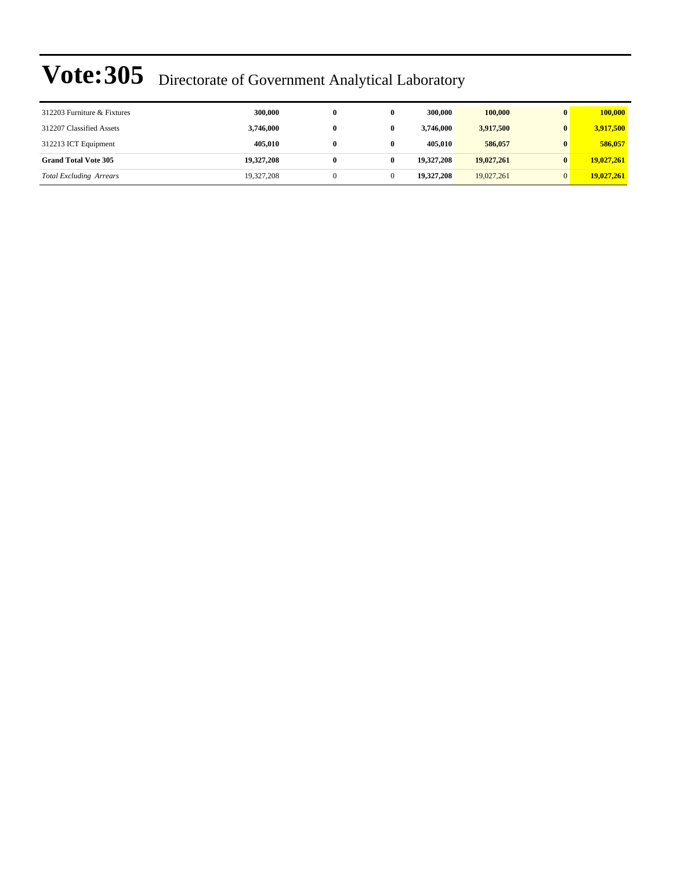| 312203 Furniture & Fixtures    | 300,000    | 0 | 300,000    | 100,000    | $\mathbf{0}$ | 100,000    |
|--------------------------------|------------|---|------------|------------|--------------|------------|
| 312207 Classified Assets       | 3,746,000  | 0 | 3,746,000  | 3,917,500  |              | 3,917,500  |
| 312213 ICT Equipment           | 405.010    | 0 | 405,010    | 586,057    | 0            | 586,057    |
| <b>Grand Total Vote 305</b>    | 19,327,208 | 0 | 19,327,208 | 19,027,261 |              | 19,027,261 |
| <b>Total Excluding Arrears</b> | 19,327,208 |   | 19,327,208 | 19,027,261 |              | 19,027,261 |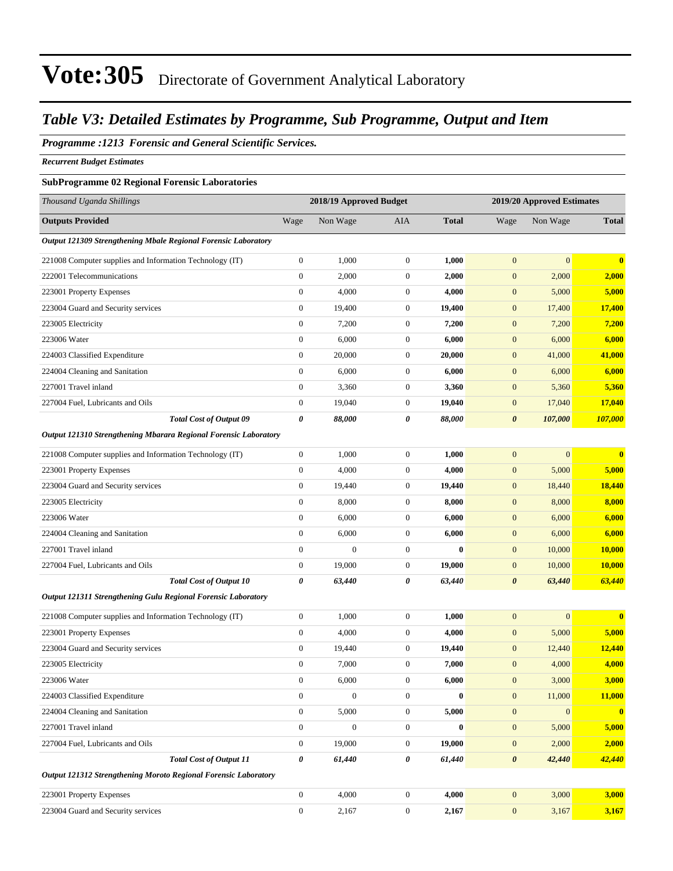#### *Table V3: Detailed Estimates by Programme, Sub Programme, Output and Item*

#### *Programme :1213 Forensic and General Scientific Services.*

*Recurrent Budget Estimates*

#### **SubProgramme 02 Regional Forensic Laboratories**

| Thousand Uganda Shillings                                        |                  | 2018/19 Approved Budget |                       |              | 2019/20 Approved Estimates |                  |                         |
|------------------------------------------------------------------|------------------|-------------------------|-----------------------|--------------|----------------------------|------------------|-------------------------|
| <b>Outputs Provided</b>                                          | Wage             | Non Wage                | <b>AIA</b>            | <b>Total</b> | Wage                       | Non Wage         | <b>Total</b>            |
| Output 121309 Strengthening Mbale Regional Forensic Laboratory   |                  |                         |                       |              |                            |                  |                         |
| 221008 Computer supplies and Information Technology (IT)         | $\boldsymbol{0}$ | 1,000                   | $\boldsymbol{0}$      | 1,000        | $\mathbf{0}$               | $\mathbf{0}$     | $\mathbf{0}$            |
| 222001 Telecommunications                                        | $\boldsymbol{0}$ | 2,000                   | $\boldsymbol{0}$      | 2,000        | $\boldsymbol{0}$           | 2,000            | 2,000                   |
| 223001 Property Expenses                                         | $\boldsymbol{0}$ | 4,000                   | $\boldsymbol{0}$      | 4,000        | $\boldsymbol{0}$           | 5,000            | 5,000                   |
| 223004 Guard and Security services                               | $\boldsymbol{0}$ | 19,400                  | $\boldsymbol{0}$      | 19,400       | $\boldsymbol{0}$           | 17,400           | 17,400                  |
| 223005 Electricity                                               | $\boldsymbol{0}$ | 7,200                   | $\boldsymbol{0}$      | 7,200        | $\boldsymbol{0}$           | 7,200            | 7,200                   |
| 223006 Water                                                     | $\boldsymbol{0}$ | 6,000                   | $\boldsymbol{0}$      | 6,000        | $\boldsymbol{0}$           | 6,000            | 6,000                   |
| 224003 Classified Expenditure                                    | $\boldsymbol{0}$ | 20,000                  | $\boldsymbol{0}$      | 20,000       | $\boldsymbol{0}$           | 41,000           | 41,000                  |
| 224004 Cleaning and Sanitation                                   | $\boldsymbol{0}$ | 6,000                   | $\boldsymbol{0}$      | 6,000        | $\boldsymbol{0}$           | 6,000            | 6,000                   |
| 227001 Travel inland                                             | $\boldsymbol{0}$ | 3,360                   | $\boldsymbol{0}$      | 3,360        | $\boldsymbol{0}$           | 5,360            | 5,360                   |
| 227004 Fuel, Lubricants and Oils                                 | $\boldsymbol{0}$ | 19,040                  | $\boldsymbol{0}$      | 19,040       | $\boldsymbol{0}$           | 17,040           | 17,040                  |
| <b>Total Cost of Output 09</b>                                   | 0                | 88,000                  | $\boldsymbol{\theta}$ | 88,000       | $\boldsymbol{\theta}$      | 107,000          | 107,000                 |
| Output 121310 Strengthening Mbarara Regional Forensic Laboratory |                  |                         |                       |              |                            |                  |                         |
| 221008 Computer supplies and Information Technology (IT)         | $\boldsymbol{0}$ | 1,000                   | $\boldsymbol{0}$      | 1,000        | $\boldsymbol{0}$           | $\boldsymbol{0}$ | $\bf{0}$                |
| 223001 Property Expenses                                         | $\boldsymbol{0}$ | 4,000                   | $\boldsymbol{0}$      | 4,000        | $\boldsymbol{0}$           | 5,000            | 5,000                   |
| 223004 Guard and Security services                               | $\boldsymbol{0}$ | 19,440                  | $\boldsymbol{0}$      | 19,440       | $\boldsymbol{0}$           | 18,440           | 18,440                  |
| 223005 Electricity                                               | $\boldsymbol{0}$ | 8,000                   | $\boldsymbol{0}$      | 8,000        | $\boldsymbol{0}$           | 8,000            | 8,000                   |
| 223006 Water                                                     | $\boldsymbol{0}$ | 6,000                   | $\boldsymbol{0}$      | 6,000        | $\boldsymbol{0}$           | 6,000            | 6,000                   |
| 224004 Cleaning and Sanitation                                   | $\boldsymbol{0}$ | 6,000                   | $\boldsymbol{0}$      | 6,000        | $\boldsymbol{0}$           | 6,000            | 6,000                   |
| 227001 Travel inland                                             | $\boldsymbol{0}$ | $\boldsymbol{0}$        | $\boldsymbol{0}$      | $\bf{0}$     | $\boldsymbol{0}$           | 10,000           | 10,000                  |
| 227004 Fuel, Lubricants and Oils                                 | $\boldsymbol{0}$ | 19,000                  | $\boldsymbol{0}$      | 19,000       | $\boldsymbol{0}$           | 10,000           | <b>10,000</b>           |
| <b>Total Cost of Output 10</b>                                   | 0                | 63,440                  | 0                     | 63,440       | $\boldsymbol{\theta}$      | 63,440           | 63,440                  |
| Output 121311 Strengthening Gulu Regional Forensic Laboratory    |                  |                         |                       |              |                            |                  |                         |
| 221008 Computer supplies and Information Technology (IT)         | $\boldsymbol{0}$ | 1,000                   | $\boldsymbol{0}$      | 1,000        | $\mathbf{0}$               | $\mathbf{0}$     | $\mathbf{0}$            |
| 223001 Property Expenses                                         | $\boldsymbol{0}$ | 4,000                   | $\boldsymbol{0}$      | 4,000        | $\boldsymbol{0}$           | 5,000            | 5,000                   |
| 223004 Guard and Security services                               | $\boldsymbol{0}$ | 19,440                  | $\boldsymbol{0}$      | 19,440       | $\boldsymbol{0}$           | 12,440           | 12,440                  |
| 223005 Electricity                                               | $\boldsymbol{0}$ | 7,000                   | $\boldsymbol{0}$      | 7,000        | $\boldsymbol{0}$           | 4,000            | 4,000                   |
| 223006 Water                                                     | $\mathbf{0}$     | 6,000                   | $\mathbf{0}$          | 6,000        | $\overline{0}$             | 3,000            | 3,000                   |
| 224003 Classified Expenditure                                    | $\boldsymbol{0}$ | $\boldsymbol{0}$        | $\boldsymbol{0}$      | $\bf{0}$     | $\mathbf{0}$               | 11,000           | 11,000                  |
| 224004 Cleaning and Sanitation                                   | $\boldsymbol{0}$ | 5,000                   | $\boldsymbol{0}$      | 5,000        | $\mathbf{0}$               | $\boldsymbol{0}$ | $\overline{\mathbf{0}}$ |
| 227001 Travel inland                                             | $\boldsymbol{0}$ | $\boldsymbol{0}$        | $\boldsymbol{0}$      | $\bf{0}$     | $\boldsymbol{0}$           | 5,000            | 5,000                   |
| 227004 Fuel, Lubricants and Oils                                 | $\boldsymbol{0}$ | 19,000                  | $\boldsymbol{0}$      | 19,000       | $\boldsymbol{0}$           | 2,000            | 2,000                   |
| <b>Total Cost of Output 11</b>                                   | 0                | 61,440                  | $\pmb{\theta}$        | 61,440       | $\boldsymbol{\theta}$      | 42,440           | 42,440                  |
| Output 121312 Strengthening Moroto Regional Forensic Laboratory  |                  |                         |                       |              |                            |                  |                         |
| 223001 Property Expenses                                         | $\boldsymbol{0}$ | 4,000                   | $\boldsymbol{0}$      | 4,000        | $\mathbf{0}$               | 3,000            | 3,000                   |
| 223004 Guard and Security services                               | $\boldsymbol{0}$ | 2,167                   | $\boldsymbol{0}$      | 2,167        | $\boldsymbol{0}$           | 3,167            | 3,167                   |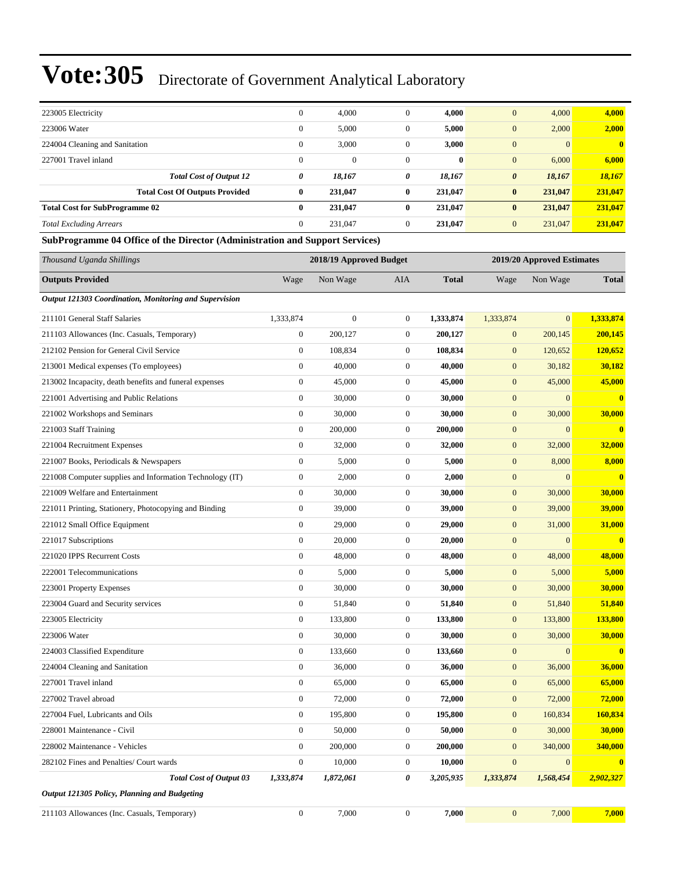| 223005 Electricity                                                           | $\mathbf{0}$     | 4,000                   | $\mathbf{0}$     | 4,000        | $\mathbf{0}$          | 4,000                      | 4,000                   |
|------------------------------------------------------------------------------|------------------|-------------------------|------------------|--------------|-----------------------|----------------------------|-------------------------|
| 223006 Water                                                                 | $\boldsymbol{0}$ | 5,000                   | $\mathbf{0}$     | 5,000        | $\mathbf{0}$          | 2,000                      | 2,000                   |
| 224004 Cleaning and Sanitation                                               | $\boldsymbol{0}$ | 3,000                   | $\boldsymbol{0}$ | 3,000        | $\mathbf{0}$          | $\mathbf{0}$               | $\mathbf{0}$            |
| 227001 Travel inland                                                         | $\boldsymbol{0}$ | $\boldsymbol{0}$        | $\mathbf{0}$     | $\bf{0}$     | $\mathbf{0}$          | 6,000                      | 6,000                   |
| <b>Total Cost of Output 12</b>                                               | 0                | 18,167                  | 0                | 18,167       | $\boldsymbol{\theta}$ | 18,167                     | 18,167                  |
| <b>Total Cost Of Outputs Provided</b>                                        | $\bf{0}$         | 231,047                 | 0                | 231,047      | $\bf{0}$              | 231,047                    | 231,047                 |
| <b>Total Cost for SubProgramme 02</b>                                        | $\bf{0}$         | 231,047                 | 0                | 231,047      | $\bf{0}$              | 231,047                    | 231,047                 |
| <b>Total Excluding Arrears</b>                                               | $\theta$         | 231,047                 | $\mathbf{0}$     | 231,047      | $\mathbf{0}$          | 231,047                    | 231,047                 |
| SubProgramme 04 Office of the Director (Administration and Support Services) |                  |                         |                  |              |                       |                            |                         |
| Thousand Uganda Shillings                                                    |                  | 2018/19 Approved Budget |                  |              |                       | 2019/20 Approved Estimates |                         |
| <b>Outputs Provided</b>                                                      | Wage             | Non Wage                | <b>AIA</b>       | <b>Total</b> | Wage                  | Non Wage                   | <b>Total</b>            |
| Output 121303 Coordination, Monitoring and Supervision                       |                  |                         |                  |              |                       |                            |                         |
| 211101 General Staff Salaries                                                | 1,333,874        | $\boldsymbol{0}$        | $\mathbf{0}$     | 1,333,874    | 1,333,874             | $\overline{0}$             | 1,333,874               |
| 211103 Allowances (Inc. Casuals, Temporary)                                  | $\boldsymbol{0}$ | 200,127                 | $\boldsymbol{0}$ | 200,127      | $\mathbf{0}$          | 200,145                    | 200,145                 |
| 212102 Pension for General Civil Service                                     | $\mathbf{0}$     | 108,834                 | $\mathbf{0}$     | 108,834      | $\mathbf{0}$          | 120,652                    | 120,652                 |
| 213001 Medical expenses (To employees)                                       | $\boldsymbol{0}$ | 40,000                  | $\boldsymbol{0}$ | 40,000       | $\mathbf{0}$          | 30,182                     | 30,182                  |
| 213002 Incapacity, death benefits and funeral expenses                       | $\mathbf{0}$     | 45,000                  | $\mathbf{0}$     | 45,000       | $\mathbf{0}$          | 45,000                     | 45,000                  |
| 221001 Advertising and Public Relations                                      | $\mathbf{0}$     | 30,000                  | $\mathbf{0}$     | 30,000       | $\mathbf{0}$          | $\mathbf{0}$               | $\overline{\mathbf{0}}$ |
| 221002 Workshops and Seminars                                                | $\mathbf{0}$     | 30,000                  | $\boldsymbol{0}$ | 30,000       | $\boldsymbol{0}$      | 30,000                     | 30,000                  |
| 221003 Staff Training                                                        | $\theta$         | 200,000                 | $\mathbf{0}$     | 200,000      | $\mathbf{0}$          | $\mathbf{0}$               | $\mathbf{0}$            |
| 221004 Recruitment Expenses                                                  | $\boldsymbol{0}$ | 32,000                  | $\boldsymbol{0}$ | 32,000       | $\mathbf{0}$          | 32,000                     | 32,000                  |
| 221007 Books, Periodicals & Newspapers                                       | $\mathbf{0}$     | 5,000                   | $\mathbf{0}$     | 5,000        | $\mathbf{0}$          | 8,000                      | 8,000                   |
| 221008 Computer supplies and Information Technology (IT)                     | $\boldsymbol{0}$ | 2,000                   | $\mathbf{0}$     | 2,000        | $\mathbf{0}$          | $\mathbf{0}$               | $\overline{\mathbf{0}}$ |
| 221009 Welfare and Entertainment                                             | $\theta$         | 30,000                  | $\boldsymbol{0}$ | 30,000       | $\boldsymbol{0}$      | 30,000                     | 30,000                  |
| 221011 Printing, Stationery, Photocopying and Binding                        | $\mathbf{0}$     | 39,000                  | $\mathbf{0}$     | 39,000       | $\mathbf{0}$          | 39,000                     | 39,000                  |
| 221012 Small Office Equipment                                                | $\boldsymbol{0}$ | 29,000                  | $\boldsymbol{0}$ | 29,000       | $\mathbf{0}$          | 31,000                     | 31,000                  |
| 221017 Subscriptions                                                         | $\mathbf{0}$     | 20,000                  | $\mathbf{0}$     | 20,000       | $\mathbf{0}$          | $\mathbf{0}$               | $\bf{0}$                |
| 221020 IPPS Recurrent Costs                                                  | $\boldsymbol{0}$ | 48,000                  | $\mathbf{0}$     | 48,000       | $\mathbf{0}$          | 48,000                     | 48,000                  |
| 222001 Telecommunications                                                    | $\boldsymbol{0}$ | 5,000                   | $\boldsymbol{0}$ | 5,000        | $\boldsymbol{0}$      | 5,000                      | 5,000                   |
| 223001 Property Expenses                                                     | $\mathbf{0}$     | 30,000                  | $\mathbf{0}$     | 30,000       | $\mathbf{0}$          | 30,000                     | 30,000                  |
| 223004 Guard and Security services                                           | $\boldsymbol{0}$ | 51,840                  | $\boldsymbol{0}$ | 51,840       | $\mathbf{0}$          | 51,840                     | 51,840                  |
| 223005 Electricity                                                           | $\mathbf{0}$     | 133,800                 | $\boldsymbol{0}$ | 133,800      | $\mathbf{0}$          | 133,800                    | 133,800                 |
| 223006 Water                                                                 | $\boldsymbol{0}$ | 30,000                  | $\boldsymbol{0}$ | 30,000       | $\boldsymbol{0}$      | 30,000                     | 30,000                  |
| 224003 Classified Expenditure                                                | $\boldsymbol{0}$ | 133,660                 | $\boldsymbol{0}$ | 133,660      | $\boldsymbol{0}$      | $\mathbf{0}$               | $\mathbf{0}$            |
| 224004 Cleaning and Sanitation                                               | $\mathbf{0}$     | 36,000                  | $\boldsymbol{0}$ | 36,000       | $\boldsymbol{0}$      | 36,000                     | 36,000                  |
| 227001 Travel inland                                                         | $\boldsymbol{0}$ | 65,000                  | $\boldsymbol{0}$ | 65,000       | $\mathbf{0}$          | 65,000                     | 65,000                  |
| 227002 Travel abroad                                                         | $\mathbf{0}$     | 72,000                  | $\boldsymbol{0}$ | 72,000       | $\boldsymbol{0}$      | 72,000                     | 72,000                  |
| 227004 Fuel, Lubricants and Oils                                             | $\mathbf{0}$     | 195,800                 | $\boldsymbol{0}$ | 195,800      | $\mathbf{0}$          | 160,834                    | 160,834                 |
| 228001 Maintenance - Civil                                                   | $\mathbf{0}$     | 50,000                  | $\boldsymbol{0}$ | 50,000       | $\boldsymbol{0}$      | 30,000                     | 30,000                  |
| 228002 Maintenance - Vehicles                                                | $\mathbf{0}$     | 200,000                 | $\boldsymbol{0}$ | 200,000      | $\boldsymbol{0}$      | 340,000                    | 340,000                 |
| 282102 Fines and Penalties/ Court wards                                      | $\boldsymbol{0}$ | 10,000                  | $\boldsymbol{0}$ | 10,000       | $\boldsymbol{0}$      | $\boldsymbol{0}$           | $\bf{0}$                |
| <b>Total Cost of Output 03</b>                                               | 1,333,874        | 1,872,061               | 0                | 3,205,935    | 1,333,874             | 1,568,454                  | 2,902,327               |
| Output 121305 Policy, Planning and Budgeting                                 |                  |                         |                  |              |                       |                            |                         |
| 211103 Allowances (Inc. Casuals, Temporary)                                  | $\boldsymbol{0}$ | 7,000                   | $\boldsymbol{0}$ | 7,000        | $\boldsymbol{0}$      | 7,000                      | 7,000                   |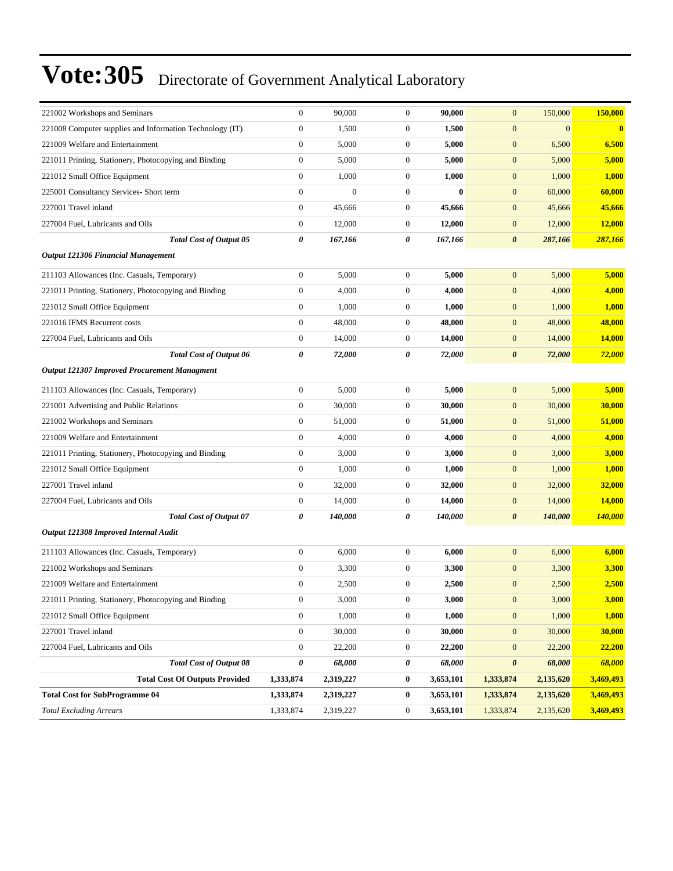| 221002 Workshops and Seminars                            | $\boldsymbol{0}$ | 90,000         | $\boldsymbol{0}$ | 90,000    | $\mathbf{0}$          | 150,000      | 150,000        |
|----------------------------------------------------------|------------------|----------------|------------------|-----------|-----------------------|--------------|----------------|
| 221008 Computer supplies and Information Technology (IT) | $\boldsymbol{0}$ | 1,500          | $\mathbf{0}$     | 1,500     | $\boldsymbol{0}$      | $\mathbf{0}$ | $\bf{0}$       |
| 221009 Welfare and Entertainment                         | $\boldsymbol{0}$ | 5,000          | $\mathbf{0}$     | 5,000     | $\mathbf{0}$          | 6,500        | 6,500          |
| 221011 Printing, Stationery, Photocopying and Binding    | $\boldsymbol{0}$ | 5,000          | $\mathbf{0}$     | 5,000     | $\boldsymbol{0}$      | 5,000        | 5,000          |
| 221012 Small Office Equipment                            | $\mathbf{0}$     | 1,000          | $\mathbf{0}$     | 1,000     | $\mathbf{0}$          | 1,000        | 1,000          |
| 225001 Consultancy Services- Short term                  | $\boldsymbol{0}$ | $\overline{0}$ | $\mathbf{0}$     | $\bf{0}$  | $\mathbf{0}$          | 60,000       | 60,000         |
| 227001 Travel inland                                     | $\boldsymbol{0}$ | 45,666         | $\boldsymbol{0}$ | 45,666    | $\mathbf{0}$          | 45,666       | 45,666         |
| 227004 Fuel, Lubricants and Oils                         | $\boldsymbol{0}$ | 12,000         | $\mathbf{0}$     | 12,000    | $\mathbf{0}$          | 12,000       | 12,000         |
| <b>Total Cost of Output 05</b>                           | 0                | 167,166        | 0                | 167,166   | $\boldsymbol{\theta}$ | 287,166      | 287,166        |
| <b>Output 121306 Financial Management</b>                |                  |                |                  |           |                       |              |                |
| 211103 Allowances (Inc. Casuals, Temporary)              | $\mathbf{0}$     | 5,000          | $\boldsymbol{0}$ | 5,000     | $\mathbf{0}$          | 5,000        | 5,000          |
| 221011 Printing, Stationery, Photocopying and Binding    | $\boldsymbol{0}$ | 4,000          | $\mathbf{0}$     | 4,000     | $\mathbf{0}$          | 4,000        | 4,000          |
| 221012 Small Office Equipment                            | $\mathbf{0}$     | 1,000          | $\mathbf{0}$     | 1,000     | $\mathbf{0}$          | 1,000        | 1,000          |
| 221016 IFMS Recurrent costs                              | $\boldsymbol{0}$ | 48,000         | $\mathbf{0}$     | 48,000    | $\mathbf{0}$          | 48,000       | 48,000         |
| 227004 Fuel, Lubricants and Oils                         | $\boldsymbol{0}$ | 14,000         | $\boldsymbol{0}$ | 14,000    | $\boldsymbol{0}$      | 14,000       | 14,000         |
| <b>Total Cost of Output 06</b>                           | 0                | 72,000         | 0                | 72,000    | $\boldsymbol{\theta}$ | 72,000       | 72,000         |
| Output 121307 Improved Procurement Managment             |                  |                |                  |           |                       |              |                |
| 211103 Allowances (Inc. Casuals, Temporary)              | $\boldsymbol{0}$ | 5,000          | $\mathbf{0}$     | 5,000     | $\mathbf{0}$          | 5,000        | 5,000          |
| 221001 Advertising and Public Relations                  | $\boldsymbol{0}$ | 30,000         | $\boldsymbol{0}$ | 30,000    | $\mathbf{0}$          | 30,000       | 30,000         |
| 221002 Workshops and Seminars                            | $\boldsymbol{0}$ | 51,000         | $\mathbf{0}$     | 51,000    | $\mathbf{0}$          | 51,000       | 51,000         |
| 221009 Welfare and Entertainment                         | $\boldsymbol{0}$ | 4,000          | $\mathbf{0}$     | 4,000     | $\boldsymbol{0}$      | 4,000        | 4,000          |
| 221011 Printing, Stationery, Photocopying and Binding    | $\mathbf{0}$     | 3,000          | $\mathbf{0}$     | 3,000     | $\boldsymbol{0}$      | 3,000        | 3,000          |
| 221012 Small Office Equipment                            | $\boldsymbol{0}$ | 1,000          | $\mathbf{0}$     | 1,000     | $\boldsymbol{0}$      | 1,000        | 1,000          |
| 227001 Travel inland                                     | $\boldsymbol{0}$ | 32,000         | $\boldsymbol{0}$ | 32,000    | $\mathbf{0}$          | 32,000       | 32,000         |
| 227004 Fuel, Lubricants and Oils                         | $\boldsymbol{0}$ | 14,000         | $\mathbf{0}$     | 14,000    | $\mathbf{0}$          | 14,000       | 14,000         |
| <b>Total Cost of Output 07</b>                           | 0                | 140,000        | 0                | 140,000   | $\boldsymbol{\theta}$ | 140,000      | <b>140,000</b> |
| Output 121308 Improved Internal Audit                    |                  |                |                  |           |                       |              |                |
| 211103 Allowances (Inc. Casuals, Temporary)              | $\mathbf{0}$     | 6,000          | $\boldsymbol{0}$ | 6,000     | $\mathbf{0}$          | 6,000        | 6,000          |
| 221002 Workshops and Seminars                            | $\boldsymbol{0}$ | 3,300          | $\mathbf{0}$     | 3,300     | $\boldsymbol{0}$      | 3,300        | 3,300          |
| 221009 Welfare and Entertainment                         | $\boldsymbol{0}$ | 2,500          | $\mathbf{0}$     | 2,500     | $\mathbf{0}$          | 2,500        | 2,500          |
| 221011 Printing, Stationery, Photocopying and Binding    | $\boldsymbol{0}$ | 3,000          | $\boldsymbol{0}$ | 3,000     | $\boldsymbol{0}$      | 3,000        | 3,000          |
| 221012 Small Office Equipment                            | $\mathbf{0}$     | 1,000          | $\boldsymbol{0}$ | 1,000     | $\boldsymbol{0}$      | 1,000        | 1,000          |
| 227001 Travel inland                                     | $\boldsymbol{0}$ | 30,000         | $\boldsymbol{0}$ | 30,000    | $\boldsymbol{0}$      | 30,000       | 30,000         |
| 227004 Fuel, Lubricants and Oils                         | $\boldsymbol{0}$ | 22,200         | $\boldsymbol{0}$ | 22,200    | $\boldsymbol{0}$      | 22,200       | 22,200         |
| <b>Total Cost of Output 08</b>                           | 0                | 68,000         | 0                | 68,000    | $\pmb{\theta}$        | 68,000       | 68,000         |
| <b>Total Cost Of Outputs Provided</b>                    | 1,333,874        | 2,319,227      | $\bf{0}$         | 3,653,101 | 1,333,874             | 2,135,620    | 3,469,493      |
| <b>Total Cost for SubProgramme 04</b>                    | 1,333,874        | 2,319,227      | $\bf{0}$         | 3,653,101 | 1,333,874             | 2,135,620    | 3,469,493      |
| <b>Total Excluding Arrears</b>                           | 1,333,874        | 2,319,227      | $\boldsymbol{0}$ | 3,653,101 | 1,333,874             | 2,135,620    | 3,469,493      |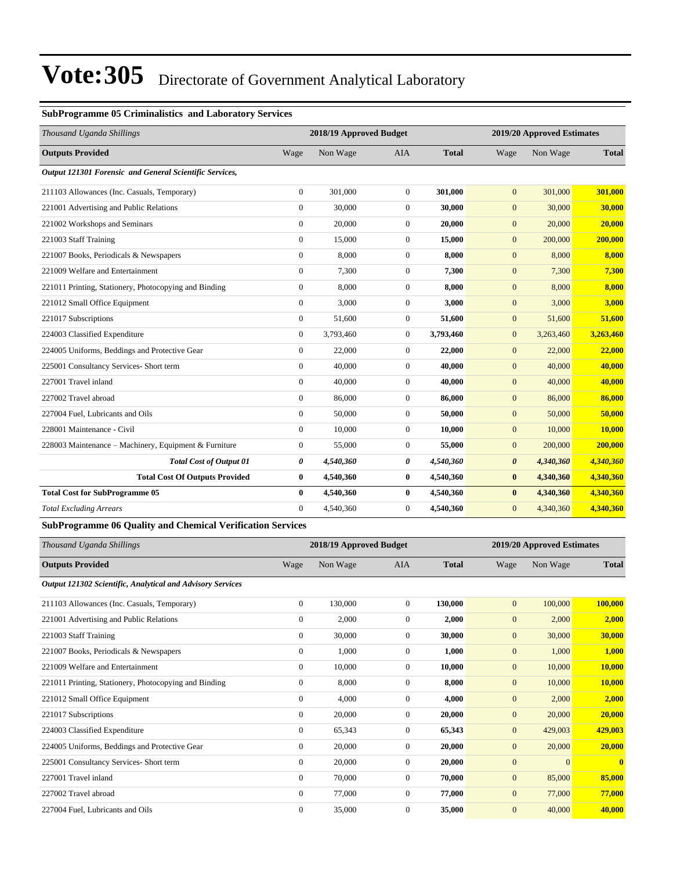#### **SubProgramme 05 Criminalistics and Laboratory Services**

| Thousand Uganda Shillings                                         |                  | 2018/19 Approved Budget |                  |              |                       | 2019/20 Approved Estimates |              |
|-------------------------------------------------------------------|------------------|-------------------------|------------------|--------------|-----------------------|----------------------------|--------------|
| <b>Outputs Provided</b>                                           | Wage             | Non Wage                | <b>AIA</b>       | <b>Total</b> | Wage                  | Non Wage                   | <b>Total</b> |
| Output 121301 Forensic and General Scientific Services,           |                  |                         |                  |              |                       |                            |              |
| 211103 Allowances (Inc. Casuals, Temporary)                       | $\mathbf{0}$     | 301.000                 | $\Omega$         | 301,000      | $\mathbf{0}$          | 301,000                    | 301,000      |
| 221001 Advertising and Public Relations                           | $\theta$         | 30,000                  | $\Omega$         | 30,000       | $\mathbf{0}$          | 30,000                     | 30,000       |
| 221002 Workshops and Seminars                                     | $\mathbf{0}$     | 20,000                  | $\overline{0}$   | 20,000       | $\mathbf{0}$          | 20,000                     | 20,000       |
| 221003 Staff Training                                             | $\mathbf{0}$     | 15,000                  | $\overline{0}$   | 15,000       | $\mathbf{0}$          | 200,000                    | 200,000      |
| 221007 Books, Periodicals & Newspapers                            | $\boldsymbol{0}$ | 8,000                   | $\boldsymbol{0}$ | 8,000        | $\mathbf{0}$          | 8,000                      | 8,000        |
| 221009 Welfare and Entertainment                                  | $\mathbf{0}$     | 7,300                   | $\overline{0}$   | 7,300        | $\mathbf{0}$          | 7,300                      | 7,300        |
| 221011 Printing, Stationery, Photocopying and Binding             | $\mathbf{0}$     | 8,000                   | $\overline{0}$   | 8,000        | $\mathbf{0}$          | 8,000                      | 8,000        |
| 221012 Small Office Equipment                                     | $\mathbf{0}$     | 3,000                   | $\Omega$         | 3,000        | $\mathbf{0}$          | 3,000                      | 3,000        |
| 221017 Subscriptions                                              | $\theta$         | 51,600                  | $\overline{0}$   | 51,600       | $\mathbf{0}$          | 51,600                     | 51,600       |
| 224003 Classified Expenditure                                     | $\mathbf{0}$     | 3,793,460               | $\overline{0}$   | 3,793,460    | $\mathbf{0}$          | 3,263,460                  | 3,263,460    |
| 224005 Uniforms, Beddings and Protective Gear                     | $\mathbf{0}$     | 22,000                  | $\overline{0}$   | 22,000       | $\mathbf{0}$          | 22,000                     | 22,000       |
| 225001 Consultancy Services- Short term                           | $\mathbf{0}$     | 40,000                  | $\overline{0}$   | 40,000       | $\mathbf{0}$          | 40,000                     | 40,000       |
| 227001 Travel inland                                              | $\Omega$         | 40,000                  | $\overline{0}$   | 40,000       | $\mathbf{0}$          | 40,000                     | 40,000       |
| 227002 Travel abroad                                              | $\mathbf{0}$     | 86,000                  | $\overline{0}$   | 86,000       | $\mathbf{0}$          | 86,000                     | 86,000       |
| 227004 Fuel, Lubricants and Oils                                  | $\mathbf{0}$     | 50,000                  | $\overline{0}$   | 50,000       | $\mathbf{0}$          | 50,000                     | 50,000       |
| 228001 Maintenance - Civil                                        | $\mathbf{0}$     | 10,000                  | $\overline{0}$   | 10,000       | $\mathbf{0}$          | 10,000                     | 10,000       |
| 228003 Maintenance – Machinery, Equipment & Furniture             | $\mathbf{0}$     | 55,000                  | $\overline{0}$   | 55,000       | $\mathbf{0}$          | 200,000                    | 200,000      |
| <b>Total Cost of Output 01</b>                                    | 0                | 4,540,360               | 0                | 4,540,360    | $\boldsymbol{\theta}$ | 4,340,360                  | 4,340,360    |
| <b>Total Cost Of Outputs Provided</b>                             | $\bf{0}$         | 4,540,360               | $\bf{0}$         | 4,540,360    | $\bf{0}$              | 4,340,360                  | 4,340,360    |
| <b>Total Cost for SubProgramme 05</b>                             | $\bf{0}$         | 4,540,360               | $\bf{0}$         | 4,540,360    | $\bf{0}$              | 4,340,360                  | 4,340,360    |
| <b>Total Excluding Arrears</b>                                    | $\theta$         | 4,540,360               | $\boldsymbol{0}$ | 4,540,360    | $\mathbf{0}$          | 4,340,360                  | 4,340,360    |
| <b>SubProgramme 06 Quality and Chemical Verification Services</b> |                  |                         |                  |              |                       |                            |              |

| Thousand Uganda Shillings                                  |                | 2018/19 Approved Budget |                |              | 2019/20 Approved Estimates |          |               |  |
|------------------------------------------------------------|----------------|-------------------------|----------------|--------------|----------------------------|----------|---------------|--|
| <b>Outputs Provided</b>                                    | Wage           | Non Wage                | <b>AIA</b>     | <b>Total</b> | Wage                       | Non Wage | <b>Total</b>  |  |
| Output 121302 Scientific, Analytical and Advisory Services |                |                         |                |              |                            |          |               |  |
| 211103 Allowances (Inc. Casuals, Temporary)                | $\overline{0}$ | 130,000                 | $\overline{0}$ | 130,000      | $\overline{0}$             | 100,000  | 100,000       |  |
| 221001 Advertising and Public Relations                    | $\mathbf{0}$   | 2,000                   | $\overline{0}$ | 2,000        | $\mathbf{0}$               | 2,000    | 2,000         |  |
| 221003 Staff Training                                      | $\overline{0}$ | 30,000                  | $\overline{0}$ | 30,000       | $\mathbf{0}$               | 30,000   | 30,000        |  |
| 221007 Books, Periodicals & Newspapers                     | $\overline{0}$ | 1,000                   | $\overline{0}$ | 1,000        | $\mathbf{0}$               | 1,000    | 1,000         |  |
| 221009 Welfare and Entertainment                           | $\mathbf{0}$   | 10,000                  | $\Omega$       | 10,000       | $\mathbf{0}$               | 10,000   | 10,000        |  |
| 221011 Printing, Stationery, Photocopying and Binding      | $\mathbf{0}$   | 8,000                   | $\overline{0}$ | 8,000        | $\mathbf{0}$               | 10,000   | <b>10,000</b> |  |
| 221012 Small Office Equipment                              | $\overline{0}$ | 4,000                   | $\overline{0}$ | 4,000        | $\overline{0}$             | 2,000    | 2,000         |  |
| 221017 Subscriptions                                       | $\mathbf{0}$   | 20,000                  | $\overline{0}$ | 20,000       | $\mathbf{0}$               | 20,000   | 20,000        |  |
| 224003 Classified Expenditure                              | $\overline{0}$ | 65,343                  | $\overline{0}$ | 65,343       | $\mathbf{0}$               | 429,003  | 429,003       |  |
| 224005 Uniforms, Beddings and Protective Gear              | $\overline{0}$ | 20,000                  | $\overline{0}$ | 20,000       | $\overline{0}$             | 20,000   | 20,000        |  |
| 225001 Consultancy Services- Short term                    | $\mathbf{0}$   | 20,000                  | $\Omega$       | 20,000       | $\mathbf{0}$               | $\Omega$ | $\mathbf{0}$  |  |
| 227001 Travel inland                                       | $\mathbf{0}$   | 70,000                  | $\overline{0}$ | 70,000       | $\mathbf{0}$               | 85,000   | 85,000        |  |
| 227002 Travel abroad                                       | $\overline{0}$ | 77,000                  | $\overline{0}$ | 77,000       | $\mathbf{0}$               | 77,000   | 77,000        |  |
| 227004 Fuel, Lubricants and Oils                           | $\overline{0}$ | 35,000                  | $\overline{0}$ | 35,000       | $\overline{0}$             | 40,000   | 40,000        |  |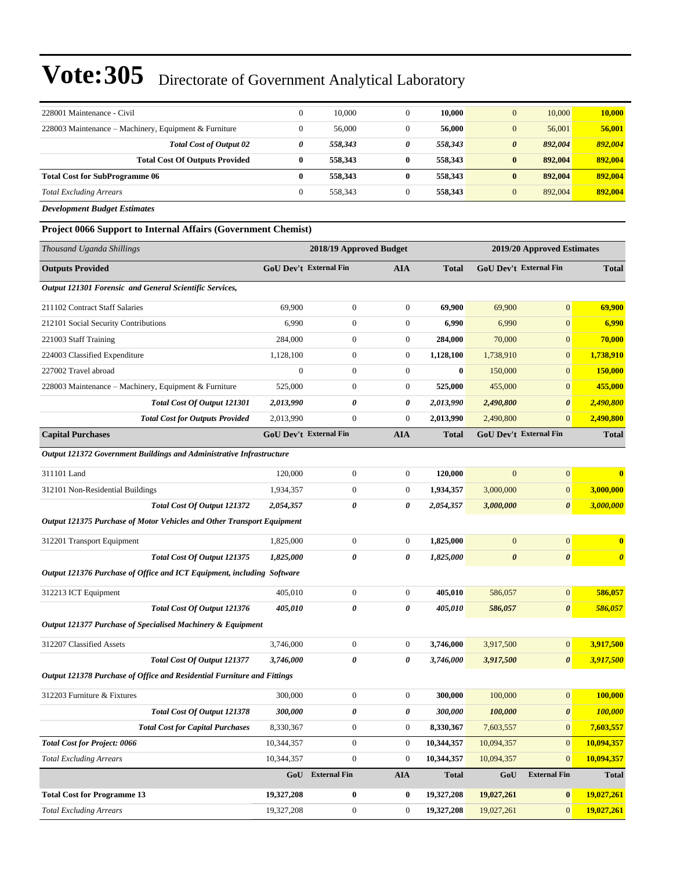| 228001 Maintenance - Civil                            | $\theta$ | 10.000  |   | 10.000  | 10,000<br>$\overline{0}$         | 10,000  |
|-------------------------------------------------------|----------|---------|---|---------|----------------------------------|---------|
| 228003 Maintenance – Machinery, Equipment & Furniture | $\Omega$ | 56,000  |   | 56,000  | 56,001<br>$\overline{0}$         | 56,001  |
| <b>Total Cost of Output 02</b>                        | 0        | 558.343 | 0 | 558.343 | $\boldsymbol{\theta}$<br>892.004 | 892,004 |
| <b>Total Cost Of Outputs Provided</b>                 | 0        | 558,343 | 0 | 558,343 | 892,004<br>$\bf{0}$              | 892,004 |
| <b>Total Cost for SubProgramme 06</b>                 | 0        | 558.343 | 0 | 558,343 | 892,004<br>$\bf{0}$              | 892,004 |
| <b>Total Excluding Arrears</b>                        | $\Omega$ | 558.343 |   | 558,343 | 892,004<br>$\overline{0}$        | 892,004 |

*Development Budget Estimates*

**Project 0066 Support to Internal Affairs (Government Chemist)**

| Thousand Uganda Shillings                                               |                  | 2018/19 Approved Budget       |                  |              |                       | 2019/20 Approved Estimates    |                       |  |
|-------------------------------------------------------------------------|------------------|-------------------------------|------------------|--------------|-----------------------|-------------------------------|-----------------------|--|
| <b>Outputs Provided</b>                                                 |                  | <b>GoU Dev't External Fin</b> | <b>AIA</b>       | <b>Total</b> |                       | GoU Dev't External Fin        | <b>Total</b>          |  |
| Output 121301 Forensic and General Scientific Services,                 |                  |                               |                  |              |                       |                               |                       |  |
| 211102 Contract Staff Salaries                                          | 69,900           | $\boldsymbol{0}$              | $\boldsymbol{0}$ | 69,900       | 69,900                | $\overline{0}$                | 69,900                |  |
| 212101 Social Security Contributions                                    | 6,990            | $\boldsymbol{0}$              | $\mathbf{0}$     | 6,990        | 6,990                 | $\boldsymbol{0}$              | 6,990                 |  |
| 221003 Staff Training                                                   | 284,000          | 0                             | $\boldsymbol{0}$ | 284,000      | 70,000                | $\overline{0}$                | 70,000                |  |
| 224003 Classified Expenditure                                           | 1,128,100        | $\boldsymbol{0}$              | $\boldsymbol{0}$ | 1,128,100    | 1,738,910             | $\boldsymbol{0}$              | 1,738,910             |  |
| 227002 Travel abroad                                                    | $\boldsymbol{0}$ | $\boldsymbol{0}$              | $\mathbf{0}$     | $\bf{0}$     | 150,000               | $\overline{0}$                | 150,000               |  |
| 228003 Maintenance - Machinery, Equipment & Furniture                   | 525,000          | $\boldsymbol{0}$              | $\mathbf{0}$     | 525,000      | 455,000               | $\overline{0}$                | 455,000               |  |
| Total Cost Of Output 121301                                             | 2,013,990        | 0                             | 0                | 2,013,990    | 2,490,800             | $\boldsymbol{\theta}$         | 2,490,800             |  |
| <b>Total Cost for Outputs Provided</b>                                  | 2,013,990        | $\boldsymbol{0}$              | $\boldsymbol{0}$ | 2,013,990    | 2,490,800             | $\mathbf{0}$                  | 2,490,800             |  |
| <b>Capital Purchases</b>                                                |                  | <b>GoU Dev't External Fin</b> | <b>AIA</b>       | <b>Total</b> |                       | <b>GoU Dev't External Fin</b> | <b>Total</b>          |  |
| Output 121372 Government Buildings and Administrative Infrastructure    |                  |                               |                  |              |                       |                               |                       |  |
| 311101 Land                                                             | 120,000          | $\boldsymbol{0}$              | $\boldsymbol{0}$ | 120,000      | $\mathbf{0}$          | $\boldsymbol{0}$              | $\bf{0}$              |  |
| 312101 Non-Residential Buildings                                        | 1,934,357        | $\boldsymbol{0}$              | $\mathbf{0}$     | 1,934,357    | 3,000,000             | $\overline{0}$                | 3,000,000             |  |
| Total Cost Of Output 121372                                             | 2,054,357        | 0                             | 0                | 2,054,357    | 3,000,000             | $\boldsymbol{\theta}$         | 3,000,000             |  |
| Output 121375 Purchase of Motor Vehicles and Other Transport Equipment  |                  |                               |                  |              |                       |                               |                       |  |
| 312201 Transport Equipment                                              | 1,825,000        | $\boldsymbol{0}$              | $\boldsymbol{0}$ | 1,825,000    | $\mathbf{0}$          | $\mathbf{0}$                  | $\bf{0}$              |  |
| Total Cost Of Output 121375                                             | 1,825,000        | 0                             | 0                | 1,825,000    | $\boldsymbol{\theta}$ | $\boldsymbol{\theta}$         | $\boldsymbol{\theta}$ |  |
| Output 121376 Purchase of Office and ICT Equipment, including Software  |                  |                               |                  |              |                       |                               |                       |  |
| 312213 ICT Equipment                                                    | 405,010          | $\boldsymbol{0}$              | $\mathbf{0}$     | 405,010      | 586,057               | $\boldsymbol{0}$              | 586,057               |  |
| Total Cost Of Output 121376                                             | 405,010          | 0                             | 0                | 405,010      | 586,057               | 0                             | 586,057               |  |
| Output 121377 Purchase of Specialised Machinery & Equipment             |                  |                               |                  |              |                       |                               |                       |  |
| 312207 Classified Assets                                                | 3,746,000        | $\boldsymbol{0}$              | $\mathbf{0}$     | 3,746,000    | 3,917,500             | $\boldsymbol{0}$              | 3,917,500             |  |
| Total Cost Of Output 121377                                             | 3,746,000        | 0                             | 0                | 3,746,000    | 3,917,500             | $\boldsymbol{\theta}$         | 3,917,500             |  |
| Output 121378 Purchase of Office and Residential Furniture and Fittings |                  |                               |                  |              |                       |                               |                       |  |
| 312203 Furniture & Fixtures                                             | 300,000          | 0                             | $\mathbf{0}$     | 300,000      | 100,000               | $\overline{0}$                | 100,000               |  |
| Total Cost Of Output 121378                                             | 300,000          | 0                             | 0                | 300,000      | 100,000               | $\boldsymbol{\theta}$         | <b>100,000</b>        |  |
| <b>Total Cost for Capital Purchases</b>                                 | 8,330,367        | $\overline{0}$                | $\mathbf{0}$     | 8,330,367    | 7,603,557             | $\overline{0}$                | 7,603,557             |  |
| <b>Total Cost for Project: 0066</b>                                     | 10,344,357       | $\boldsymbol{0}$              | $\mathbf{0}$     | 10,344,357   | 10,094,357            | $\mathbf{0}$                  | 10,094,357            |  |
| <b>Total Excluding Arrears</b>                                          | 10,344,357       | $\boldsymbol{0}$              | $\mathbf{0}$     | 10,344,357   | 10,094,357            | $\mathbf{0}$                  | 10,094,357            |  |
|                                                                         |                  | GoU External Fin              | ${\bf A I A}$    | <b>Total</b> | GoU                   | <b>External Fin</b>           | <b>Total</b>          |  |
| <b>Total Cost for Programme 13</b>                                      | 19,327,208       | 0                             | $\bf{0}$         | 19,327,208   | 19,027,261            | $\bf{0}$                      | 19,027,261            |  |
| <b>Total Excluding Arrears</b>                                          | 19,327,208       | $\boldsymbol{0}$              | $\boldsymbol{0}$ | 19,327,208   | 19,027,261            | $\mathbf{0}$                  | 19,027,261            |  |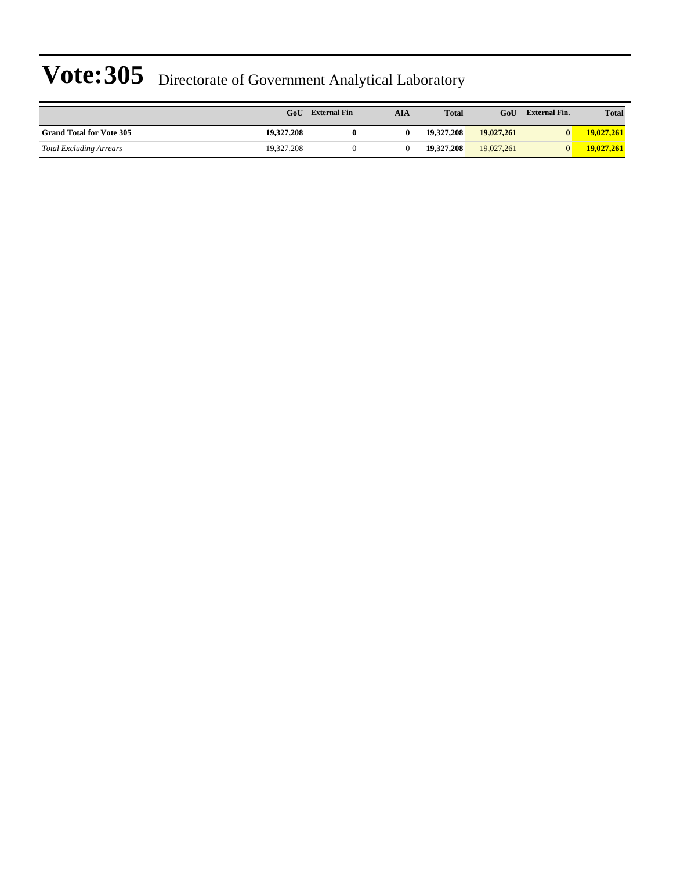|                                 | GoU        | <b>External Fin</b> | AIA | <b>Total</b> | GoU        | <b>External Fin.</b> | <b>Total</b> |
|---------------------------------|------------|---------------------|-----|--------------|------------|----------------------|--------------|
| <b>Grand Total for Vote 305</b> | 19.327.208 |                     | 0   | 19.327.208   | 19,027,261 | $\mathbf{0}$         | 19,027,261   |
| <b>Total Excluding Arrears</b>  | 19.327.208 |                     |     | 19.327.208   | 19.027.261 | $\Omega$             | 19,027,261   |